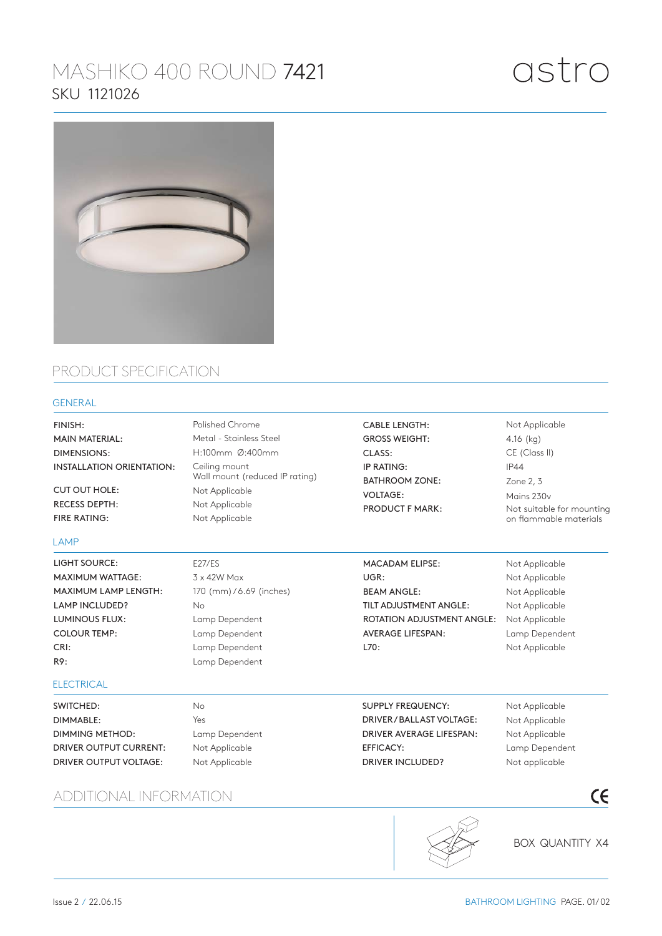# MASHIKO 400 ROUND 7421 SKU 1121026



## PRODUCT SPECIFICATION

### GENERAL

| FINISH:<br><b>MAIN MATERIAL:</b><br>DIMENSIONS: | Polished Chrome<br>Metal - Stainless Steel<br>H:100mm Ø:400mm |                           |                                                 |
|-------------------------------------------------|---------------------------------------------------------------|---------------------------|-------------------------------------------------|
|                                                 |                                                               | INSTALLATION ORIENTATION: | Ceiling mount<br>Wall mount (reduced IP rating) |
|                                                 |                                                               | CUT OUT HOLE:             | Not Applicable                                  |
| <b>RECESS DEPTH:</b>                            | Not Applicable                                                |                           |                                                 |
| FIRE RATING:                                    | Not Applicable                                                |                           |                                                 |
| LAMP                                            |                                                               |                           |                                                 |
| LIGHT SOURCE:                                   | <b>E27/ES</b>                                                 |                           |                                                 |
| <b>MAXIMUM WATTAGE:</b>                         | $3 \times 42W$ Max                                            |                           |                                                 |
| <b>MAXIMUM LAMP LENGTH:</b>                     | 170 (mm)/6.69 (inches)                                        |                           |                                                 |
| <b>LAMP INCLUDED?</b>                           | Nο                                                            |                           |                                                 |

GROSS WEIGHT: CLASS: IP RATING: BATHROOM ZONE: VOLTAGE: PRODUCT F MARK:

CABLE LENGTH:

Not Applicable 4.16 (kg) CE (Class II) IP44 Zone 2, 3 Mains 230v Not suitable for mounting on flammable materials

MACADAM ELIPSE: UGR: BEAM ANGLE: TILT ADJUSTMENT ANGLE: ROTATION ADJUSTMENT ANGLE: AVERAGE LIFESPAN: L70:

Not Applicable Not Applicable Not Applicable Not Applicable Not Applicable Lamp Dependent Not Applicable

#### **ELECTRICAL**

CRI: R9:

LUMINOUS FLUX: COLOUR TEMP:

SWITCHED: DIMMABLE: DIMMING METHOD: DRIVER OUTPUT CURRENT: DRIVER OUTPUT VOLTAGE:

ADDITIONAL INFORMATION

No Yes Lamp Dependent Not Applicable Not Applicable

Lamp Dependent Lamp Dependent Lamp Dependent Lamp Dependent

> SUPPLY FREQUENCY: DRIVER / BALLAST VOLTAGE: DRIVER AVERAGE LIFESPAN: EFFICACY: DRIVER INCLUDED?

Not Applicable Not Applicable Not Applicable Lamp Dependent Not applicable

**BOX QUANTITY X4** 

 $C<sub>f</sub>$